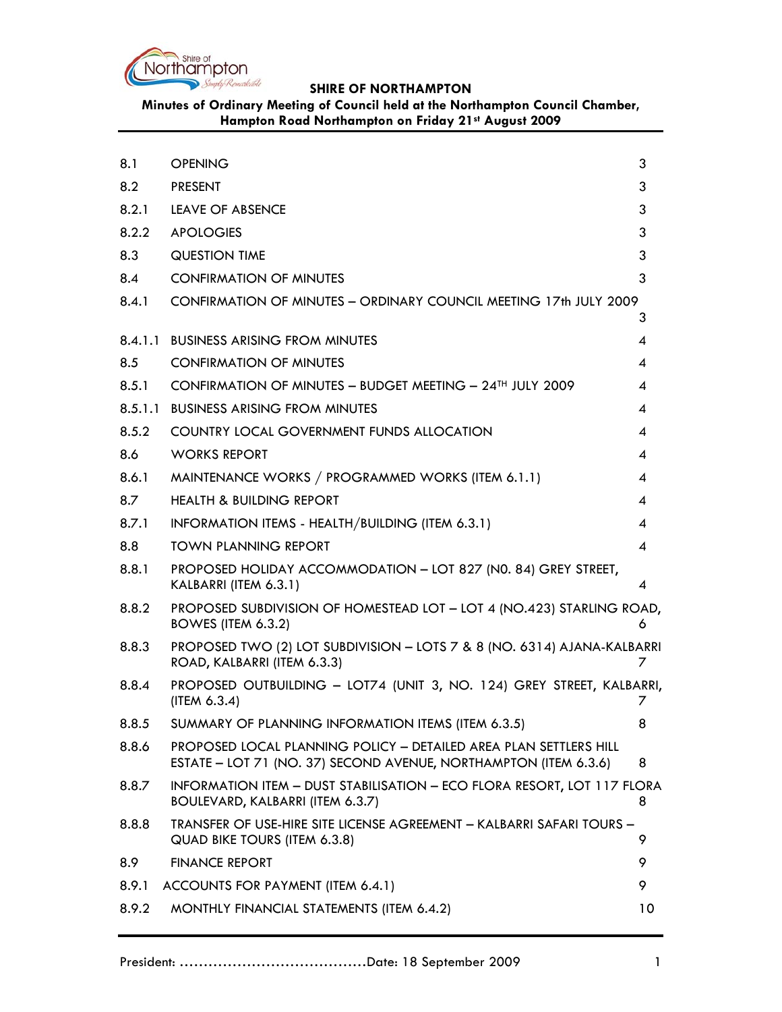

# **Minutes of Ordinary Meeting of Council held at the Northampton Council Chamber, Hampton Road Northampton on Friday 21st August 2009**

| 8.1   | <b>OPENING</b>                                                                                                                        | 3                          |
|-------|---------------------------------------------------------------------------------------------------------------------------------------|----------------------------|
| 8.2   | <b>PRESENT</b>                                                                                                                        | 3                          |
| 8.2.1 | <b>LEAVE OF ABSENCE</b>                                                                                                               | 3                          |
| 8.2.2 | <b>APOLOGIES</b>                                                                                                                      | 3                          |
| 8.3   | <b>QUESTION TIME</b>                                                                                                                  | 3                          |
| 8.4   | <b>CONFIRMATION OF MINUTES</b>                                                                                                        | 3                          |
| 8.4.1 | CONFIRMATION OF MINUTES - ORDINARY COUNCIL MEETING 17th JULY 2009                                                                     |                            |
|       |                                                                                                                                       | 3                          |
|       | 8.4.1.1 BUSINESS ARISING FROM MINUTES                                                                                                 | 4                          |
| 8.5   | <b>CONFIRMATION OF MINUTES</b>                                                                                                        | 4                          |
| 8.5.1 | CONFIRMATION OF MINUTES - BUDGET MEETING - 24TH JULY 2009                                                                             | $\overline{A}$             |
|       | 8.5.1.1 BUSINESS ARISING FROM MINUTES                                                                                                 | 4                          |
| 8.5.2 | COUNTRY LOCAL GOVERNMENT FUNDS ALLOCATION                                                                                             | $\overline{4}$             |
| 8.6   | <b>WORKS REPORT</b>                                                                                                                   | $\overline{4}$             |
| 8.6.1 | MAINTENANCE WORKS / PROGRAMMED WORKS (ITEM 6.1.1)                                                                                     | $\overline{A}$             |
| 8.7   | <b>HEALTH &amp; BUILDING REPORT</b>                                                                                                   | 4                          |
| 8.7.1 | INFORMATION ITEMS - HEALTH/BUILDING (ITEM 6.3.1)                                                                                      | $\overline{4}$             |
| 8.8   | <b>TOWN PLANNING REPORT</b>                                                                                                           | $\boldsymbol{\mathcal{A}}$ |
| 8.8.1 | PROPOSED HOLIDAY ACCOMMODATION - LOT 827 (N0. 84) GREY STREET,<br>KALBARRI (ITEM 6.3.1)                                               | 4                          |
| 8.8.2 | PROPOSED SUBDIVISION OF HOMESTEAD LOT - LOT 4 (NO.423) STARLING ROAD,<br>BOWES (ITEM 6.3.2)                                           | 6                          |
| 8.8.3 | PROPOSED TWO (2) LOT SUBDIVISION - LOTS 7 & 8 (NO. 6314) AJANA-KALBARRI<br>ROAD, KALBARRI (ITEM 6.3.3)                                | 7                          |
| 8.8.4 | PROPOSED OUTBUILDING - LOT74 (UNIT 3, NO. 124) GREY STREET, KALBARRI,<br>(ITERA 6.3.4)                                                | 7                          |
| 8.8.5 | SUMMARY OF PLANNING INFORMATION ITEMS (ITEM 6.3.5)                                                                                    | 8                          |
| 8.8.6 | PROPOSED LOCAL PLANNING POLICY - DETAILED AREA PLAN SETTLERS HILL<br>ESTATE - LOT 71 (NO. 37) SECOND AVENUE, NORTHAMPTON (ITEM 6.3.6) | 8                          |
| 8.8.7 | INFORMATION ITEM - DUST STABILISATION - ECO FLORA RESORT, LOT 117 FLORA<br>BOULEVARD, KALBARRI (ITEM 6.3.7)                           | 8                          |
| 8.8.8 | TRANSFER OF USE-HIRE SITE LICENSE AGREEMENT - KALBARRI SAFARI TOURS -<br>QUAD BIKE TOURS (ITEM 6.3.8)                                 | 9                          |
| 8.9   | <b>FINANCE REPORT</b>                                                                                                                 | 9                          |
| 8.9.1 | ACCOUNTS FOR PAYMENT (ITEM 6.4.1)                                                                                                     | 9                          |
| 8.9.2 | MONTHLY FINANCIAL STATEMENTS (ITEM 6.4.2)                                                                                             | 10                         |
|       |                                                                                                                                       |                            |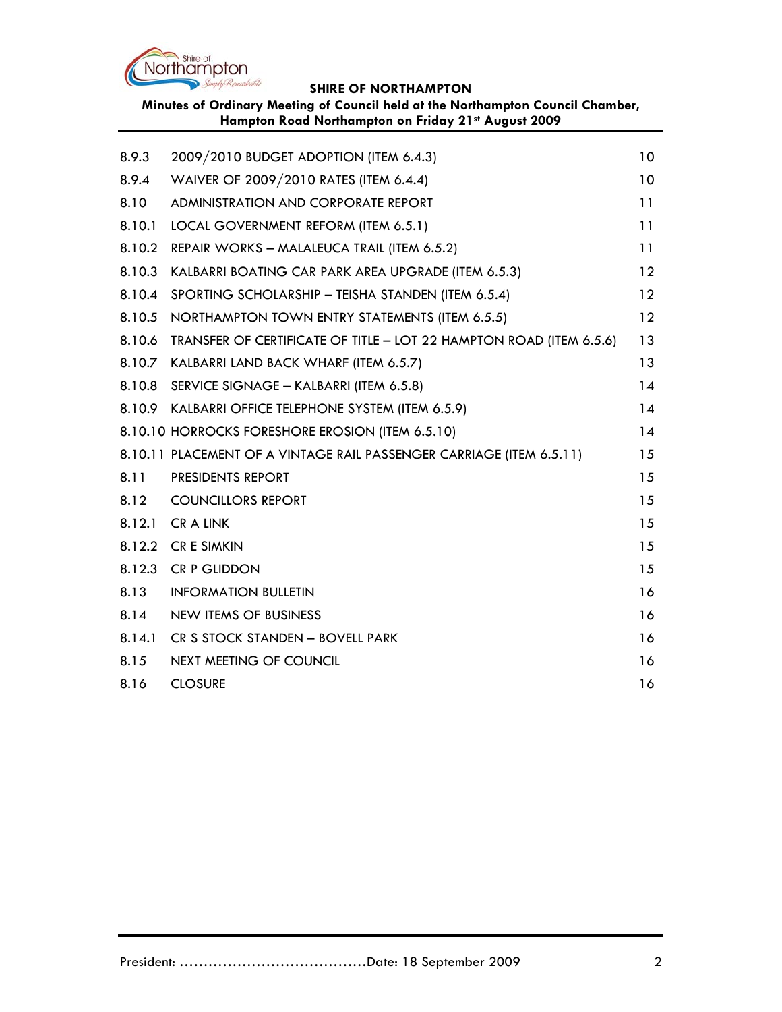

**Minutes of Ordinary Meeting of Council held at the Northampton Council Chamber, Hampton Road Northampton on Friday 21st August 2009**

| 8.9.3  | 2009/2010 BUDGET ADOPTION (ITEM 6.4.3)                               | 10              |
|--------|----------------------------------------------------------------------|-----------------|
| 8.9.4  | WAIVER OF 2009/2010 RATES (ITEM 6.4.4)                               | 10              |
| 8.10   | ADMINISTRATION AND CORPORATE REPORT                                  | 11              |
| 8.10.1 | LOCAL GOVERNMENT REFORM (ITEM 6.5.1)                                 | 11              |
| 8.10.2 | REPAIR WORKS - MALALEUCA TRAIL (ITEM 6.5.2)                          | 11              |
| 8.10.3 | KALBARRI BOATING CAR PARK AREA UPGRADE (ITEM 6.5.3)                  | 12              |
| 8.10.4 | SPORTING SCHOLARSHIP - TEISHA STANDEN (ITEM 6.5.4)                   | $12 \,$         |
| 8.10.5 | NORTHAMPTON TOWN ENTRY STATEMENTS (ITEM 6.5.5)                       | $12 \ \mathrm{$ |
| 8.10.6 | TRANSFER OF CERTIFICATE OF TITLE - LOT 22 HAMPTON ROAD (ITEM 6.5.6)  | 13              |
|        | 8.10.7 KALBARRI LAND BACK WHARF (ITEM 6.5.7)                         | 13              |
|        | 8.10.8 SERVICE SIGNAGE - KALBARRI (ITEM 6.5.8)                       | 14              |
|        | 8.10.9 KALBARRI OFFICE TELEPHONE SYSTEM (ITEM 6.5.9)                 | 14              |
|        | 8.10.10 HORROCKS FORESHORE EROSION (ITEM 6.5.10)                     | 14              |
|        | 8.10.11 PLACEMENT OF A VINTAGE RAIL PASSENGER CARRIAGE (ITEM 6.5.11) | 15              |
| 8.11   | PRESIDENTS REPORT                                                    | 15              |
| 8.12   | <b>COUNCILLORS REPORT</b>                                            | 15              |
|        | 8.12.1 CR A LINK                                                     | 15              |
|        | 8.12.2 CR E SIMKIN                                                   | 15              |
|        | 8.12.3 CR P GLIDDON                                                  | 15              |
| 8.13   | <b>INFORMATION BULLETIN</b>                                          | 16              |
| 8.14   | NEW ITEMS OF BUSINESS                                                | 16              |
| 8.14.1 | CR S STOCK STANDEN - BOVELL PARK                                     | 16              |
| 8.15   | NEXT MEETING OF COUNCIL                                              | 16              |
| 8.16   | <b>CLOSURE</b>                                                       | 16              |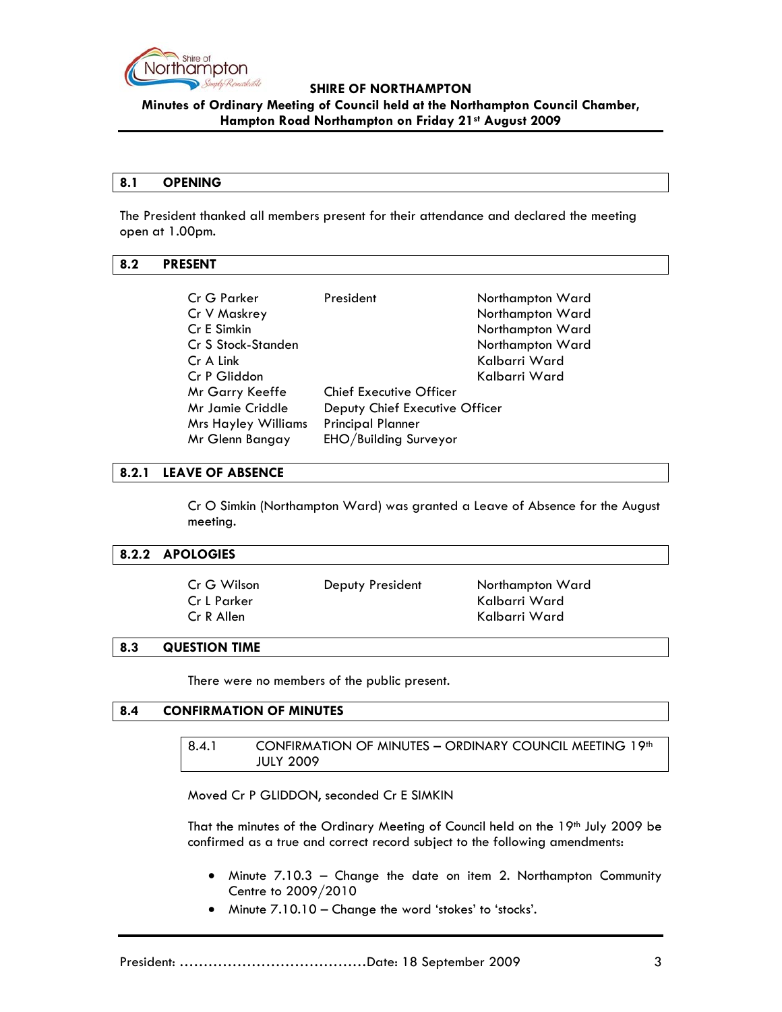

**Minutes of Ordinary Meeting of Council held at the Northampton Council Chamber, Hampton Road Northampton on Friday 21st August 2009**

#### **8.1 OPENING**

The President thanked all members present for their attendance and declared the meeting open at 1.00pm.

#### **8.2 PRESENT**

| Cr G Parker                | President                      | Northampton Ward |
|----------------------------|--------------------------------|------------------|
| Cr V Maskrey               |                                | Northampton Ward |
| Cr E Simkin                |                                | Northampton Ward |
| Cr S Stock-Standen         |                                | Northampton Ward |
| Cr A Link                  |                                | Kalbarri Ward    |
| Cr P Gliddon               |                                | Kalbarri Ward    |
| Mr Garry Keeffe            | Chief Executive Officer        |                  |
| Mr Jamie Criddle           | Deputy Chief Executive Officer |                  |
| <b>Mrs Hayley Williams</b> | <b>Principal Planner</b>       |                  |
| Mr Glenn Bangay            | EHO/Building Surveyor          |                  |
|                            |                                |                  |

#### **8.2.1 LEAVE OF ABSENCE**

Cr O Simkin (Northampton Ward) was granted a Leave of Absence for the August meeting.

#### **8.2.2 APOLOGIES**

| Cr G Wilson<br>Cr L Parker | Deputy President | Northampton Ward<br>Kalbarri Ward |
|----------------------------|------------------|-----------------------------------|
| Cr R Allen                 |                  | Kalbarri Ward                     |

#### **8.3 QUESTION TIME**

There were no members of the public present.

### **8.4 CONFIRMATION OF MINUTES**

8.4.1 CONFIRMATION OF MINUTES - ORDINARY COUNCIL MEETING 19th JULY 2009

Moved Cr P GLIDDON, seconded Cr E SIMKIN

That the minutes of the Ordinary Meeting of Council held on the 19<sup>th</sup> July 2009 be confirmed as a true and correct record subject to the following amendments:

- Minute 7.10.3 Change the date on item 2. Northampton Community Centre to 2009/2010
- Minute 7.10.10 Change the word 'stokes' to 'stocks'.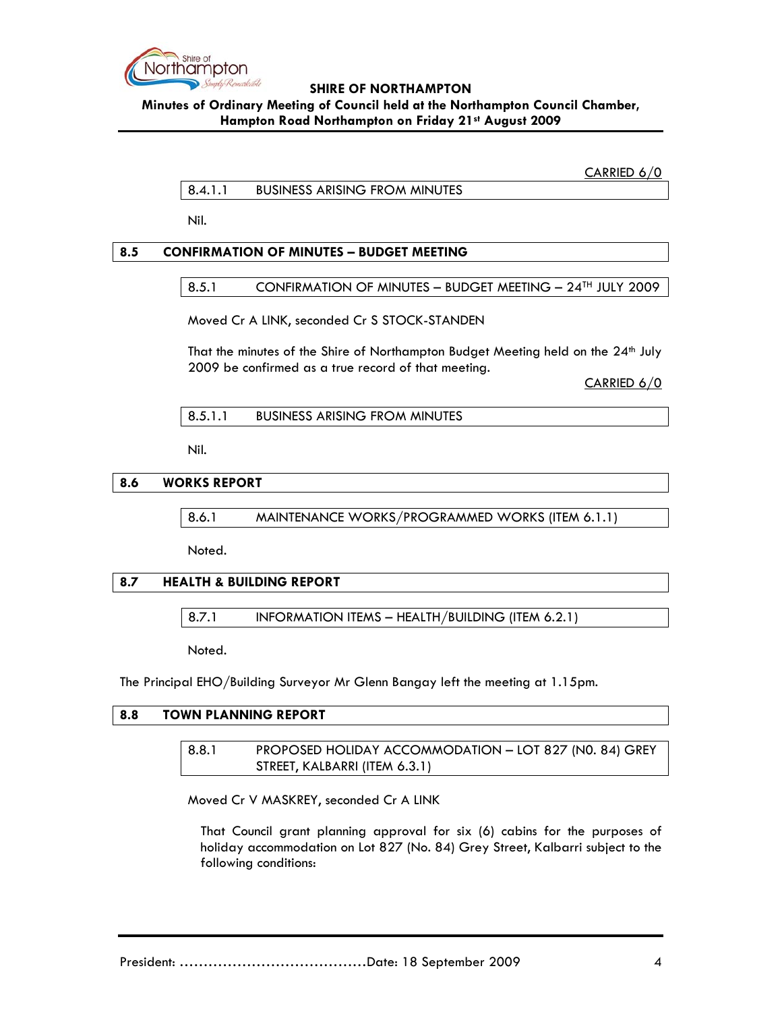

**Minutes of Ordinary Meeting of Council held at the Northampton Council Chamber, Hampton Road Northampton on Friday 21st August 2009**

CARRIED 6/0

8.4.1.1 BUSINESS ARISING FROM MINUTES

Nil.

# **8.5 CONFIRMATION OF MINUTES – BUDGET MEETING**

### 8.5.1 CONFIRMATION OF MINUTES - BUDGET MEETING - 24<sup>TH</sup> JULY 2009

Moved Cr A LINK, seconded Cr S STOCK-STANDEN

That the minutes of the Shire of Northampton Budget Meeting held on the 24<sup>th</sup> July 2009 be confirmed as a true record of that meeting.

CARRIED 6/0

Nil.

### **8.6 WORKS REPORT**

8.6.1 MAINTENANCE WORKS/PROGRAMMED WORKS (ITEM 6.1.1)

Noted.

# **8.7 HEALTH & BUILDING REPORT**

8.7.1 INFORMATION ITEMS – HEALTH/BUILDING (ITEM 6.2.1)

Noted.

The Principal EHO/Building Surveyor Mr Glenn Bangay left the meeting at 1.15pm.

# **8.8 TOWN PLANNING REPORT**

8.8.1 PROPOSED HOLIDAY ACCOMMODATION – LOT 827 (N0. 84) GREY STREET, KALBARRI (ITEM 6.3.1)

Moved Cr V MASKREY, seconded Cr A LINK

That Council grant planning approval for six (6) cabins for the purposes of holiday accommodation on Lot 827 (No. 84) Grey Street, Kalbarri subject to the following conditions: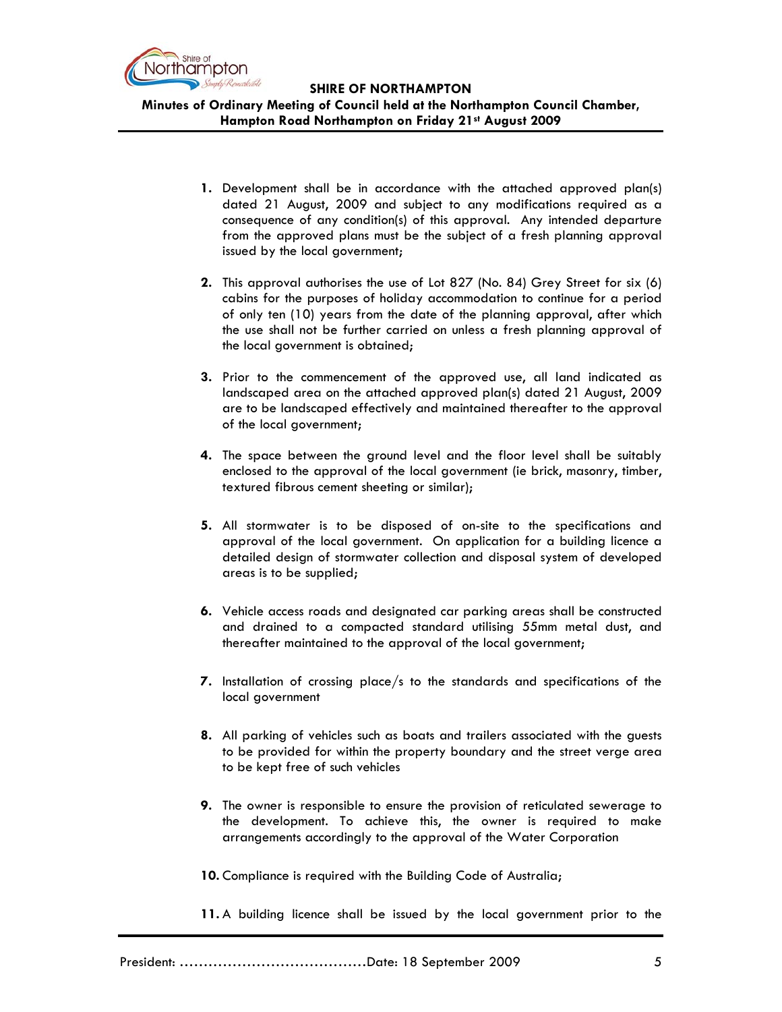

**Minutes of Ordinary Meeting of Council held at the Northampton Council Chamber, Hampton Road Northampton on Friday 21st August 2009**

- **1.** Development shall be in accordance with the attached approved plan(s) dated 21 August, 2009 and subject to any modifications required as a consequence of any condition(s) of this approval. Any intended departure from the approved plans must be the subject of a fresh planning approval issued by the local government;
- **2.** This approval authorises the use of Lot 827 (No. 84) Grey Street for six (6) cabins for the purposes of holiday accommodation to continue for a period of only ten (10) years from the date of the planning approval, after which the use shall not be further carried on unless a fresh planning approval of the local government is obtained;
- **3.** Prior to the commencement of the approved use, all land indicated as landscaped area on the attached approved plan(s) dated 21 August, 2009 are to be landscaped effectively and maintained thereafter to the approval of the local government;
- **4.** The space between the ground level and the floor level shall be suitably enclosed to the approval of the local government (ie brick, masonry, timber, textured fibrous cement sheeting or similar);
- **5.** All stormwater is to be disposed of on-site to the specifications and approval of the local government. On application for a building licence a detailed design of stormwater collection and disposal system of developed areas is to be supplied;
- **6.** Vehicle access roads and designated car parking areas shall be constructed and drained to a compacted standard utilising 55mm metal dust, and thereafter maintained to the approval of the local government;
- **7.** Installation of crossing place/s to the standards and specifications of the local government
- **8.** All parking of vehicles such as boats and trailers associated with the guests to be provided for within the property boundary and the street verge area to be kept free of such vehicles
- **9.** The owner is responsible to ensure the provision of reticulated sewerage to the development. To achieve this, the owner is required to make arrangements accordingly to the approval of the Water Corporation

**10.** Compliance is required with the Building Code of Australia;

**11.** A building licence shall be issued by the local government prior to the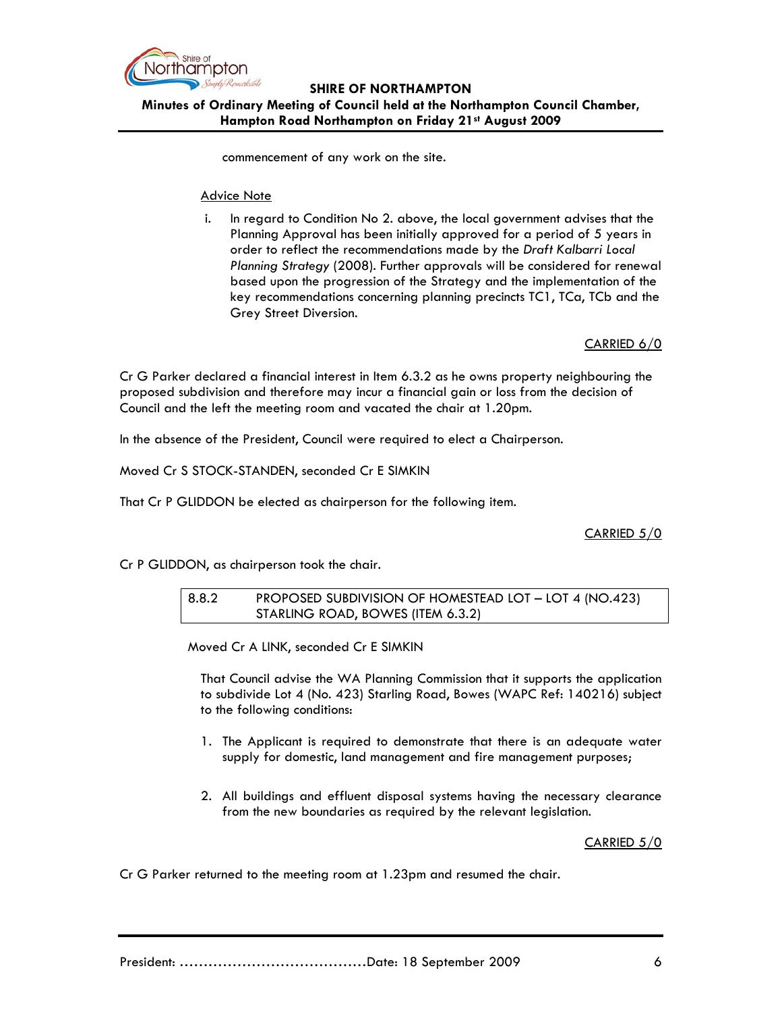

# **SHIRE OF NORTHAMPTON Minutes of Ordinary Meeting of Council held at the Northampton Council Chamber, Hampton Road Northampton on Friday 21st August 2009**

commencement of any work on the site.

#### Advice Note

i. In regard to Condition No 2. above, the local government advises that the Planning Approval has been initially approved for a period of 5 years in order to reflect the recommendations made by the *Draft Kalbarri Local Planning Strategy* (2008). Further approvals will be considered for renewal based upon the progression of the Strategy and the implementation of the key recommendations concerning planning precincts TC1, TCa, TCb and the Grey Street Diversion.

CARRIED 6/0

Cr G Parker declared a financial interest in Item 6.3.2 as he owns property neighbouring the proposed subdivision and therefore may incur a financial gain or loss from the decision of Council and the left the meeting room and vacated the chair at 1.20pm.

In the absence of the President, Council were required to elect a Chairperson.

Moved Cr S STOCK-STANDEN, seconded Cr E SIMKIN

That Cr P GLIDDON be elected as chairperson for the following item.

CARRIED 5/0

Cr P GLIDDON, as chairperson took the chair.

8.8.2 PROPOSED SUBDIVISION OF HOMESTEAD LOT – LOT 4 (NO.423) STARLING ROAD, BOWES (ITEM 6.3.2)

Moved Cr A LINK, seconded Cr E SIMKIN

That Council advise the WA Planning Commission that it supports the application to subdivide Lot 4 (No. 423) Starling Road, Bowes (WAPC Ref: 140216) subject to the following conditions:

- 1. The Applicant is required to demonstrate that there is an adequate water supply for domestic, land management and fire management purposes;
- 2. All buildings and effluent disposal systems having the necessary clearance from the new boundaries as required by the relevant legislation.

CARRIED 5/0

Cr G Parker returned to the meeting room at 1.23pm and resumed the chair.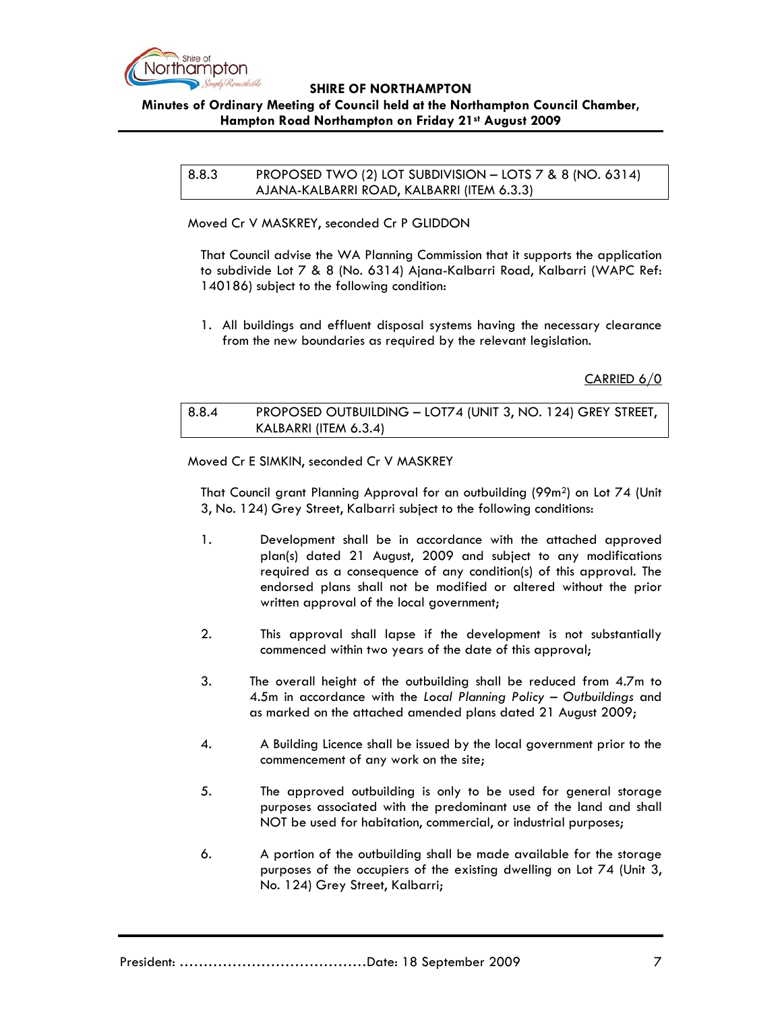

# **Minutes of Ordinary Meeting of Council held at the Northampton Council Chamber, Hampton Road Northampton on Friday 21st August 2009**

8.8.3 PROPOSED TWO (2) LOT SUBDIVISION – LOTS 7 & 8 (NO. 6314) AJANA-KALBARRI ROAD, KALBARRI (ITEM 6.3.3)

Moved Cr V MASKREY, seconded Cr P GLIDDON

That Council advise the WA Planning Commission that it supports the application to subdivide Lot 7 & 8 (No. 6314) Ajana-Kalbarri Road, Kalbarri (WAPC Ref: 140186) subject to the following condition:

1. All buildings and effluent disposal systems having the necessary clearance from the new boundaries as required by the relevant legislation.

CARRIED 6/0

8.8.4 PROPOSED OUTBUILDING – LOT74 (UNIT 3, NO. 124) GREY STREET, KALBARRI (ITEM 6.3.4)

Moved Cr E SIMKIN, seconded Cr V MASKREY

That Council grant Planning Approval for an outbuilding (99m2) on Lot 74 (Unit 3, No. 124) Grey Street, Kalbarri subject to the following conditions:

- 1. Development shall be in accordance with the attached approved plan(s) dated 21 August, 2009 and subject to any modifications required as a consequence of any condition(s) of this approval. The endorsed plans shall not be modified or altered without the prior written approval of the local government;
- 2. This approval shall lapse if the development is not substantially commenced within two years of the date of this approval;
- 3. The overall height of the outbuilding shall be reduced from 4.7m to 4.5m in accordance with the *Local Planning Policy – Outbuildings* and as marked on the attached amended plans dated 21 August 2009;
- 4. A Building Licence shall be issued by the local government prior to the commencement of any work on the site;
- 5. The approved outbuilding is only to be used for general storage purposes associated with the predominant use of the land and shall NOT be used for habitation, commercial, or industrial purposes;
- 6. A portion of the outbuilding shall be made available for the storage purposes of the occupiers of the existing dwelling on Lot 74 (Unit 3, No. 124) Grey Street, Kalbarri;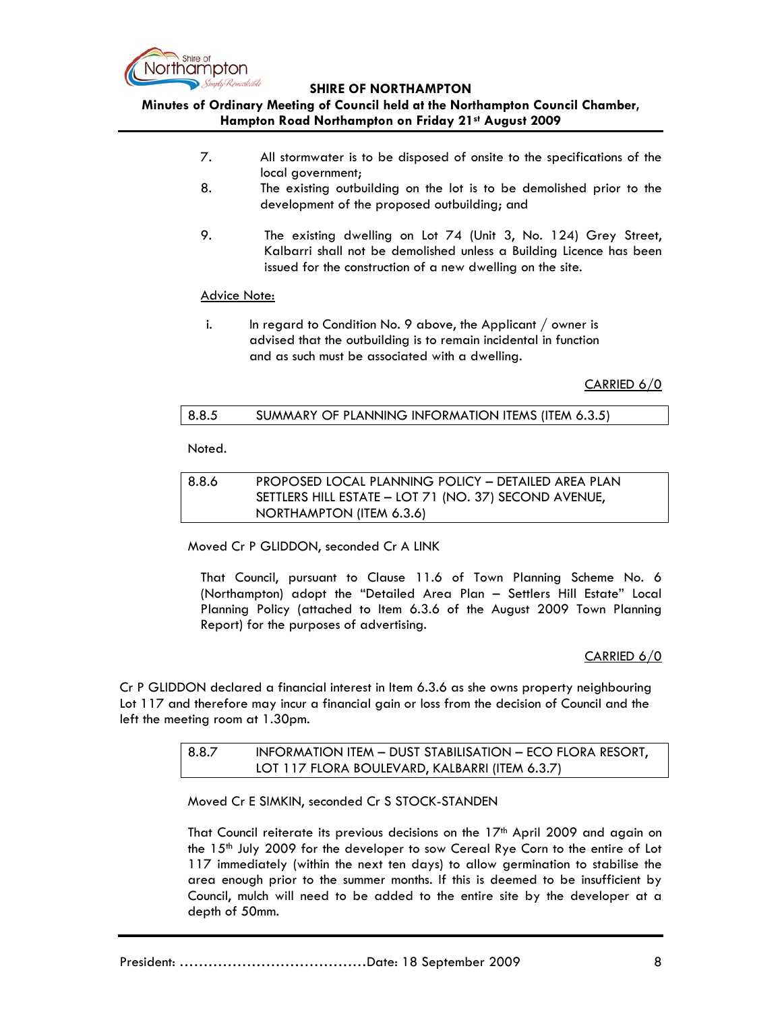

# **Minutes of Ordinary Meeting of Council held at the Northampton Council Chamber, Hampton Road Northampton on Friday 21st August 2009**

- 7. All stormwater is to be disposed of onsite to the specifications of the local government;
- 8. The existing outbuilding on the lot is to be demolished prior to the development of the proposed outbuilding; and
- 9. The existing dwelling on Lot 74 (Unit 3, No. 124) Grey Street, Kalbarri shall not be demolished unless a Building Licence has been issued for the construction of a new dwelling on the site.

#### Advice Note:

i. In regard to Condition No. 9 above, the Applicant  $\ell$  owner is advised that the outbuilding is to remain incidental in function and as such must be associated with a dwelling.

CARRIED 6/0

# 8.8.5 SUMMARY OF PLANNING INFORMATION ITEMS (ITEM 6.3.5)

Noted.

| 8.8.6 | PROPOSED LOCAL PLANNING POLICY - DETAILED AREA PLAN   |
|-------|-------------------------------------------------------|
|       | SETTLERS HILL ESTATE - LOT 71 (NO. 37) SECOND AVENUE, |
|       | NORTHAMPTON (ITEM 6.3.6)                              |

Moved Cr P GLIDDON, seconded Cr A LINK

That Council, pursuant to Clause 11.6 of Town Planning Scheme No. 6 (Northampton) adopt the "Detailed Area Plan – Settlers Hill Estate" Local Planning Policy (attached to Item 6.3.6 of the August 2009 Town Planning Report) for the purposes of advertising.

# CARRIED 6/0

Cr P GLIDDON declared a financial interest in Item 6.3.6 as she owns property neighbouring Lot 117 and therefore may incur a financial gain or loss from the decision of Council and the left the meeting room at 1.30pm.

# 8.8.7 INFORMATION ITEM – DUST STABILISATION – ECO FLORA RESORT, LOT 117 FLORA BOULEVARD, KALBARRI (ITEM 6.3.7)

Moved Cr E SIMKIN, seconded Cr S STOCK-STANDEN

That Council reiterate its previous decisions on the  $17<sup>th</sup>$  April 2009 and again on the 15<sup>th</sup> July 2009 for the developer to sow Cereal Rye Corn to the entire of Lot 117 immediately (within the next ten days) to allow germination to stabilise the area enough prior to the summer months. If this is deemed to be insufficient by Council, mulch will need to be added to the entire site by the developer at a depth of 50mm.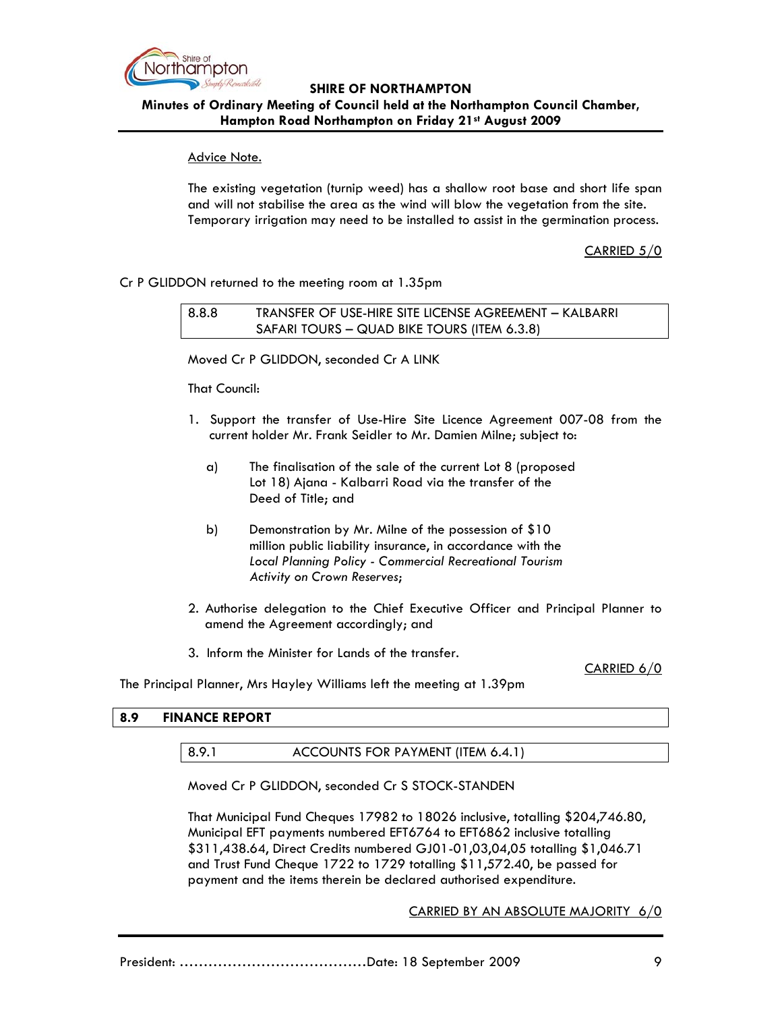

**Minutes of Ordinary Meeting of Council held at the Northampton Council Chamber, Hampton Road Northampton on Friday 21st August 2009**

### Advice Note.

The existing vegetation (turnip weed) has a shallow root base and short life span and will not stabilise the area as the wind will blow the vegetation from the site. Temporary irrigation may need to be installed to assist in the germination process.

CARRIED 5/0

### Cr P GLIDDON returned to the meeting room at 1.35pm

8.8.8 TRANSFER OF USE-HIRE SITE LICENSE AGREEMENT – KALBARRI SAFARI TOURS – QUAD BIKE TOURS (ITEM 6.3.8)

Moved Cr P GLIDDON, seconded Cr A LINK

That Council:

- 1. Support the transfer of Use-Hire Site Licence Agreement 007-08 from the current holder Mr. Frank Seidler to Mr. Damien Milne; subject to:
	- a) The finalisation of the sale of the current Lot 8 (proposed Lot 18) Ajana - Kalbarri Road via the transfer of the Deed of Title; and
	- b) Demonstration by Mr. Milne of the possession of \$10 million public liability insurance, in accordance with the *Local Planning Policy - Commercial Recreational Tourism Activity on Crown Reserves*;
- 2. Authorise delegation to the Chief Executive Officer and Principal Planner to amend the Agreement accordingly; and
- 3. Inform the Minister for Lands of the transfer.

CARRIED 6/0

The Principal Planner, Mrs Hayley Williams left the meeting at 1.39pm

# **8.9 FINANCE REPORT**

#### 8.9.1 ACCOUNTS FOR PAYMENT (ITEM 6.4.1)

Moved Cr P GLIDDON, seconded Cr S STOCK-STANDEN

That Municipal Fund Cheques 17982 to 18026 inclusive, totalling \$204,746.80, Municipal EFT payments numbered EFT6764 to EFT6862 inclusive totalling \$311,438.64, Direct Credits numbered GJ01-01,03,04,05 totalling \$1,046.71 and Trust Fund Cheque 1722 to 1729 totalling \$11,572.40, be passed for payment and the items therein be declared authorised expenditure.

CARRIED BY AN ABSOLUTE MAJORITY 6/0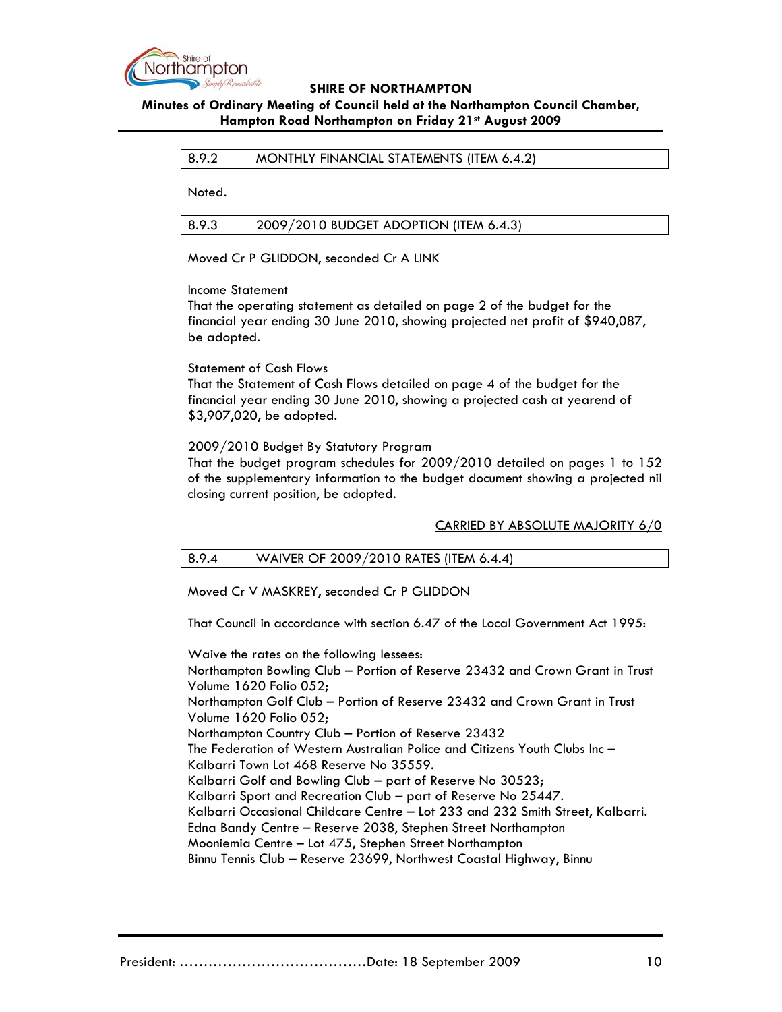

# **Minutes of Ordinary Meeting of Council held at the Northampton Council Chamber, Hampton Road Northampton on Friday 21st August 2009**

### 8.9.2 MONTHLY FINANCIAL STATEMENTS (ITEM 6.4.2)

Noted.

8.9.3 2009/2010 BUDGET ADOPTION (ITEM 6.4.3)

Moved Cr P GLIDDON, seconded Cr A LINK

#### Income Statement

That the operating statement as detailed on page 2 of the budget for the financial year ending 30 June 2010, showing projected net profit of \$940,087, be adopted.

Statement of Cash Flows

That the Statement of Cash Flows detailed on page 4 of the budget for the financial year ending 30 June 2010, showing a projected cash at yearend of \$3,907,020, be adopted.

### 2009/2010 Budget By Statutory Program

That the budget program schedules for 2009/2010 detailed on pages 1 to 152 of the supplementary information to the budget document showing a projected nil closing current position, be adopted.

# CARRIED BY ABSOLUTE MAJORITY 6/0

# 8.9.4 WAIVER OF 2009/2010 RATES (ITEM 6.4.4)

Moved Cr V MASKREY, seconded Cr P GLIDDON

That Council in accordance with section 6.47 of the Local Government Act 1995:

Waive the rates on the following lessees: Northampton Bowling Club – Portion of Reserve 23432 and Crown Grant in Trust Volume 1620 Folio 052; Northampton Golf Club – Portion of Reserve 23432 and Crown Grant in Trust Volume 1620 Folio 052; Northampton Country Club – Portion of Reserve 23432 The Federation of Western Australian Police and Citizens Youth Clubs Inc – Kalbarri Town Lot 468 Reserve No 35559. Kalbarri Golf and Bowling Club – part of Reserve No 30523; Kalbarri Sport and Recreation Club – part of Reserve No 25447. Kalbarri Occasional Childcare Centre – Lot 233 and 232 Smith Street, Kalbarri. Edna Bandy Centre – Reserve 2038, Stephen Street Northampton Mooniemia Centre – Lot 475, Stephen Street Northampton Binnu Tennis Club – Reserve 23699, Northwest Coastal Highway, Binnu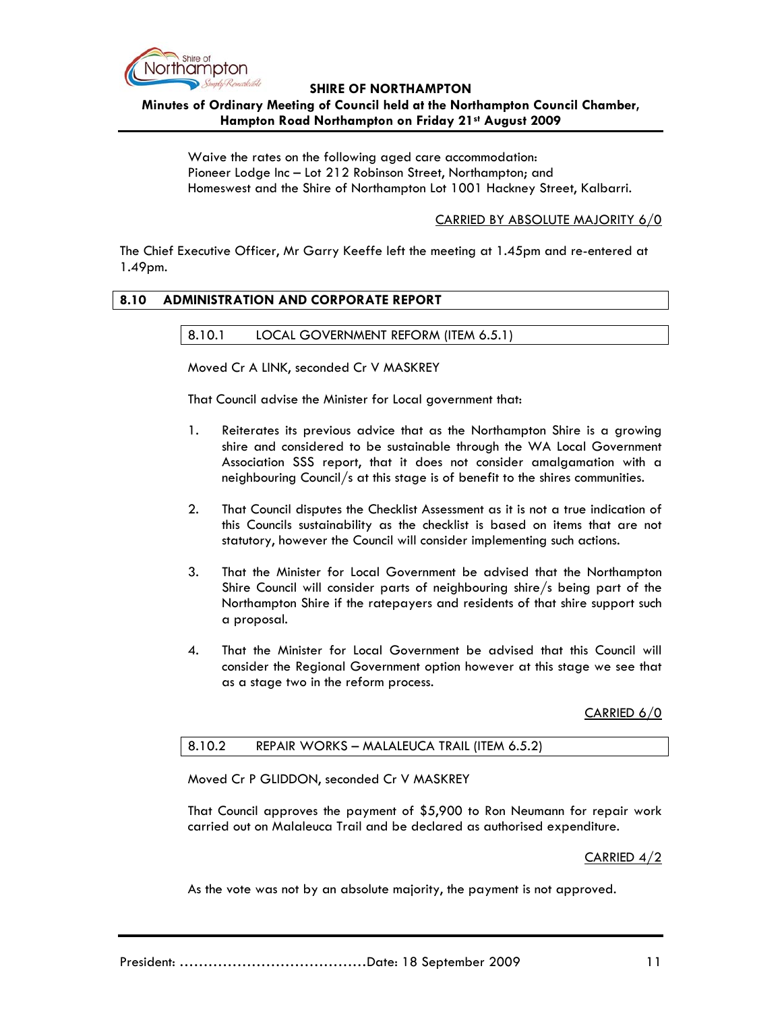

**Minutes of Ordinary Meeting of Council held at the Northampton Council Chamber, Hampton Road Northampton on Friday 21st August 2009**

Waive the rates on the following aged care accommodation: Pioneer Lodge Inc – Lot 212 Robinson Street, Northampton; and Homeswest and the Shire of Northampton Lot 1001 Hackney Street, Kalbarri.

### CARRIED BY ABSOLUTE MAJORITY 6/0

The Chief Executive Officer, Mr Garry Keeffe left the meeting at 1.45pm and re-entered at 1.49pm.

#### **8.10 ADMINISTRATION AND CORPORATE REPORT**

### 8.10.1 LOCAL GOVERNMENT REFORM (ITEM 6.5.1)

Moved Cr A LINK, seconded Cr V MASKREY

That Council advise the Minister for Local government that:

- 1. Reiterates its previous advice that as the Northampton Shire is a growing shire and considered to be sustainable through the WA Local Government Association SSS report, that it does not consider amalgamation with a neighbouring Council/s at this stage is of benefit to the shires communities.
- 2. That Council disputes the Checklist Assessment as it is not a true indication of this Councils sustainability as the checklist is based on items that are not statutory, however the Council will consider implementing such actions.
- 3. That the Minister for Local Government be advised that the Northampton Shire Council will consider parts of neighbouring shire/s being part of the Northampton Shire if the ratepayers and residents of that shire support such a proposal.
- 4. That the Minister for Local Government be advised that this Council will consider the Regional Government option however at this stage we see that as a stage two in the reform process.

CARRIED 6/0

# 8.10.2 REPAIR WORKS – MALALEUCA TRAIL (ITEM 6.5.2)

Moved Cr P GLIDDON, seconded Cr V MASKREY

That Council approves the payment of \$5,900 to Ron Neumann for repair work carried out on Malaleuca Trail and be declared as authorised expenditure.

CARRIED 4/2

As the vote was not by an absolute majority, the payment is not approved.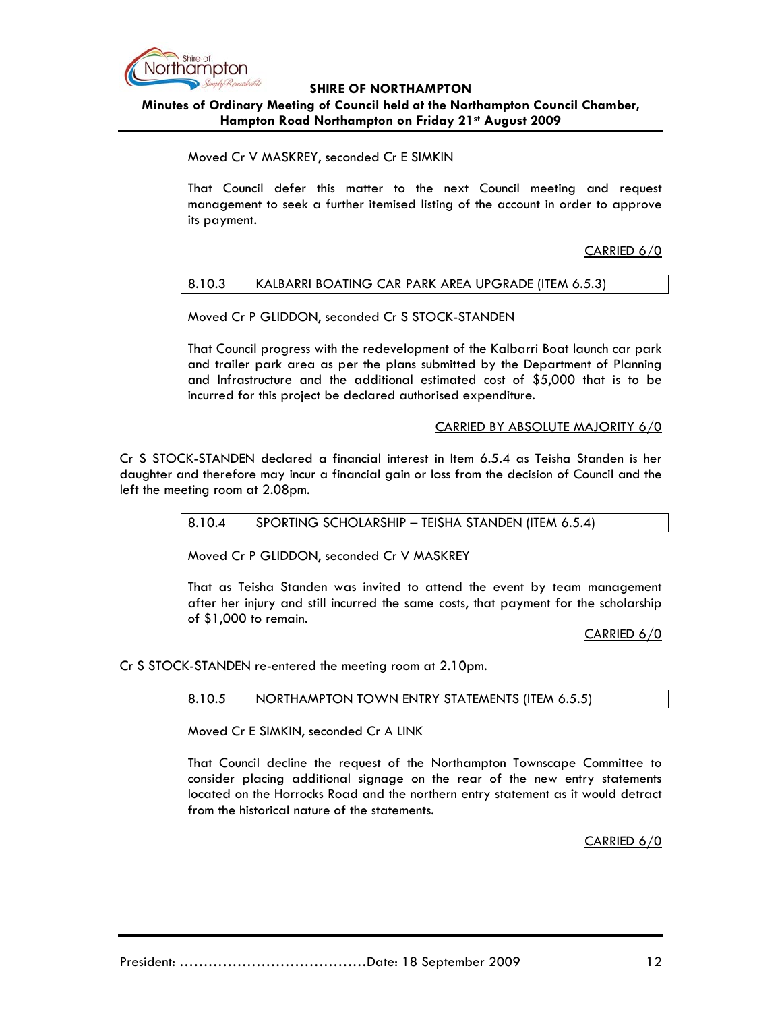

**Minutes of Ordinary Meeting of Council held at the Northampton Council Chamber, Hampton Road Northampton on Friday 21st August 2009**

Moved Cr V MASKREY, seconded Cr E SIMKIN

That Council defer this matter to the next Council meeting and request management to seek a further itemised listing of the account in order to approve its payment.

CARRIED 6/0

# 8.10.3 KALBARRI BOATING CAR PARK AREA UPGRADE (ITEM 6.5.3)

Moved Cr P GLIDDON, seconded Cr S STOCK-STANDEN

That Council progress with the redevelopment of the Kalbarri Boat launch car park and trailer park area as per the plans submitted by the Department of Planning and Infrastructure and the additional estimated cost of \$5,000 that is to be incurred for this project be declared authorised expenditure.

### CARRIED BY ABSOLUTE MAJORITY 6/0

Cr S STOCK-STANDEN declared a financial interest in Item 6.5.4 as Teisha Standen is her daughter and therefore may incur a financial gain or loss from the decision of Council and the left the meeting room at 2.08pm.

#### 8.10.4 SPORTING SCHOLARSHIP – TEISHA STANDEN (ITEM 6.5.4)

Moved Cr P GLIDDON, seconded Cr V MASKREY

That as Teisha Standen was invited to attend the event by team management after her injury and still incurred the same costs, that payment for the scholarship of \$1,000 to remain.

CARRIED 6/0

Cr S STOCK-STANDEN re-entered the meeting room at 2.10pm.

#### 8.10.5 NORTHAMPTON TOWN ENTRY STATEMENTS (ITEM 6.5.5)

Moved Cr E SIMKIN, seconded Cr A LINK

That Council decline the request of the Northampton Townscape Committee to consider placing additional signage on the rear of the new entry statements located on the Horrocks Road and the northern entry statement as it would detract from the historical nature of the statements.

CARRIED 6/0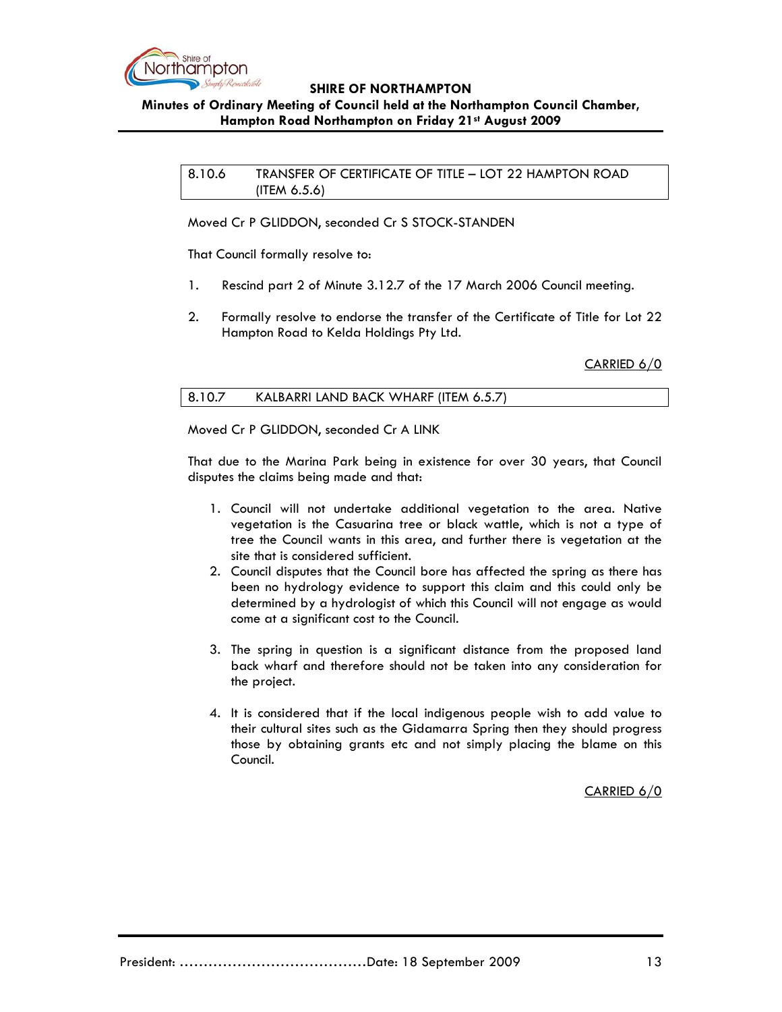

# **Minutes of Ordinary Meeting of Council held at the Northampton Council Chamber, Hampton Road Northampton on Friday 21st August 2009**

8.10.6 TRANSFER OF CERTIFICATE OF TITLE – LOT 22 HAMPTON ROAD (ITEM 6.5.6)

Moved Cr P GLIDDON, seconded Cr S STOCK-STANDEN

That Council formally resolve to:

- 1. Rescind part 2 of Minute 3.12.7 of the 17 March 2006 Council meeting.
- 2. Formally resolve to endorse the transfer of the Certificate of Title for Lot 22 Hampton Road to Kelda Holdings Pty Ltd.

CARRIED 6/0

|--|

Moved Cr P GLIDDON, seconded Cr A LINK

That due to the Marina Park being in existence for over 30 years, that Council disputes the claims being made and that:

- 1. Council will not undertake additional vegetation to the area. Native vegetation is the Casuarina tree or black wattle, which is not a type of tree the Council wants in this area, and further there is vegetation at the site that is considered sufficient.
- 2. Council disputes that the Council bore has affected the spring as there has been no hydrology evidence to support this claim and this could only be determined by a hydrologist of which this Council will not engage as would come at a significant cost to the Council.
- 3. The spring in question is a significant distance from the proposed land back wharf and therefore should not be taken into any consideration for the project.
- 4. It is considered that if the local indigenous people wish to add value to their cultural sites such as the Gidamarra Spring then they should progress those by obtaining grants etc and not simply placing the blame on this Council.

CARRIED 6/0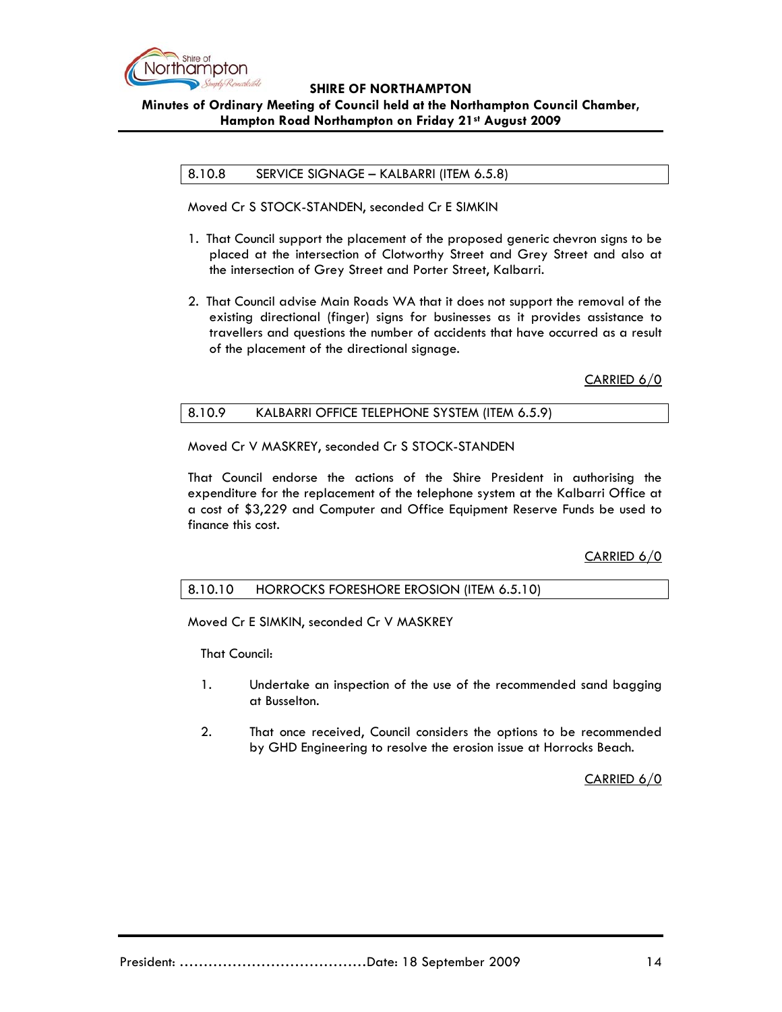

**Minutes of Ordinary Meeting of Council held at the Northampton Council Chamber, Hampton Road Northampton on Friday 21st August 2009**

8.10.8 SERVICE SIGNAGE – KALBARRI (ITEM 6.5.8)

Moved Cr S STOCK-STANDEN, seconded Cr E SIMKIN

- 1. That Council support the placement of the proposed generic chevron signs to be placed at the intersection of Clotworthy Street and Grey Street and also at the intersection of Grey Street and Porter Street, Kalbarri.
- 2. That Council advise Main Roads WA that it does not support the removal of the existing directional (finger) signs for businesses as it provides assistance to travellers and questions the number of accidents that have occurred as a result of the placement of the directional signage.

CARRIED 6/0

### 8.10.9 KALBARRI OFFICE TELEPHONE SYSTEM (ITEM 6.5.9)

Moved Cr V MASKREY, seconded Cr S STOCK-STANDEN

That Council endorse the actions of the Shire President in authorising the expenditure for the replacement of the telephone system at the Kalbarri Office at a cost of \$3,229 and Computer and Office Equipment Reserve Funds be used to finance this cost.

CARRIED 6/0

#### 8.10.10 HORROCKS FORESHORE EROSION (ITEM 6.5.10)

Moved Cr E SIMKIN, seconded Cr V MASKREY

That Council:

- 1. Undertake an inspection of the use of the recommended sand bagging at Busselton.
- 2. That once received, Council considers the options to be recommended by GHD Engineering to resolve the erosion issue at Horrocks Beach.

CARRIED 6/0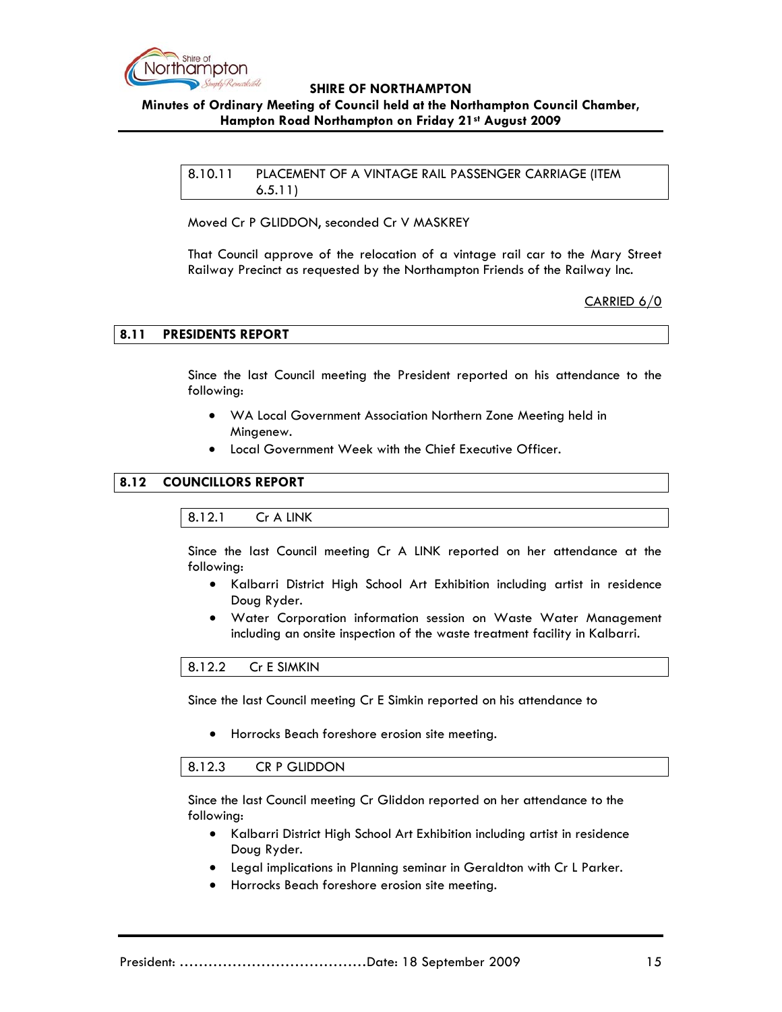

# **Minutes of Ordinary Meeting of Council held at the Northampton Council Chamber, Hampton Road Northampton on Friday 21st August 2009**

8.10.11 PLACEMENT OF A VINTAGE RAIL PASSENGER CARRIAGE (ITEM 6.5.11)

Moved Cr P GLIDDON, seconded Cr V MASKREY

That Council approve of the relocation of a vintage rail car to the Mary Street Railway Precinct as requested by the Northampton Friends of the Railway Inc.

CARRIED 6/0

### **8.11 PRESIDENTS REPORT**

Since the last Council meeting the President reported on his attendance to the following:

- WA Local Government Association Northern Zone Meeting held in Mingenew.
- Local Government Week with the Chief Executive Officer.

# **8.12 COUNCILLORS REPORT**

#### 8.12.1 Cr A LINK

Since the last Council meeting Cr A LINK reported on her attendance at the following:

- Kalbarri District High School Art Exhibition including artist in residence Doug Ryder.
- Water Corporation information session on Waste Water Management including an onsite inspection of the waste treatment facility in Kalbarri.

8.12.2 Cr E SIMKIN

Since the last Council meeting Cr E Simkin reported on his attendance to

• Horrocks Beach foreshore erosion site meeting.

#### 8.12.3 CR P GLIDDON

Since the last Council meeting Cr Gliddon reported on her attendance to the following:

- Kalbarri District High School Art Exhibition including artist in residence Doug Ryder.
- Legal implications in Planning seminar in Geraldton with Cr L Parker.
- Horrocks Beach foreshore erosion site meeting.